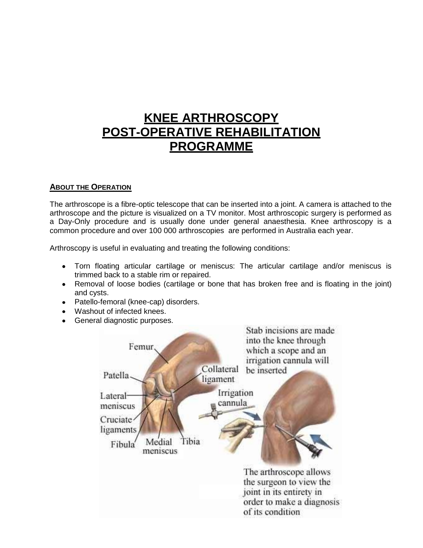# **KNEE ARTHROSCOPY POST-OPERATIVE REHABILITATION PROGRAMME**

#### **ABOUT THE OPERATION**

The arthroscope is a fibre-optic telescope that can be inserted into a joint. A camera is attached to the arthroscope and the picture is visualized on a TV monitor. Most arthroscopic surgery is performed as a Day-Only procedure and is usually done under general anaesthesia. Knee arthroscopy is a common procedure and over 100 000 arthroscopies are performed in Australia each year.

Arthroscopy is useful in evaluating and treating the following conditions:

- Torn floating articular cartilage or meniscus: The articular cartilage and/or meniscus is  $\bullet$ trimmed back to a stable rim or repaired.
- Removal of loose bodies (cartilage or bone that has broken free and is floating in the joint) and cysts.
- Patello-femoral (knee-cap) disorders.
- Washout of infected knees.
- General diagnostic purposes.

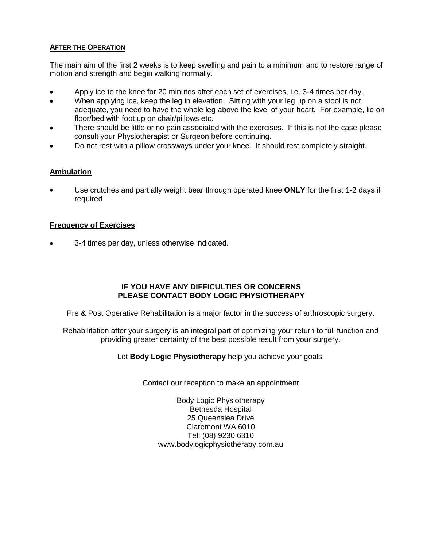#### **AFTER THE OPERATION**

The main aim of the first 2 weeks is to keep swelling and pain to a minimum and to restore range of motion and strength and begin walking normally.

- Apply ice to the knee for 20 minutes after each set of exercises, i.e. 3-4 times per day.
- When applying ice, keep the leg in elevation. Sitting with your leg up on a stool is not adequate, you need to have the whole leg above the level of your heart. For example, lie on floor/bed with foot up on chair/pillows etc.
- There should be little or no pain associated with the exercises. If this is not the case please consult your Physiotherapist or Surgeon before continuing.
- Do not rest with a pillow crossways under your knee. It should rest completely straight.

#### **Ambulation**

Use crutches and partially weight bear through operated knee **ONLY** for the first 1-2 days if required

#### **Frequency of Exercises**

3-4 times per day, unless otherwise indicated.

#### **IF YOU HAVE ANY DIFFICULTIES OR CONCERNS PLEASE CONTACT BODY LOGIC PHYSIOTHERAPY**

Pre & Post Operative Rehabilitation is a major factor in the success of arthroscopic surgery.

Rehabilitation after your surgery is an integral part of optimizing your return to full function and providing greater certainty of the best possible result from your surgery.

Let **Body Logic Physiotherapy** help you achieve your goals.

Contact our reception to make an appointment

Body Logic Physiotherapy Bethesda Hospital 25 Queenslea Drive Claremont WA 6010 Tel: (08) 9230 6310 www.bodylogicphysiotherapy.com.au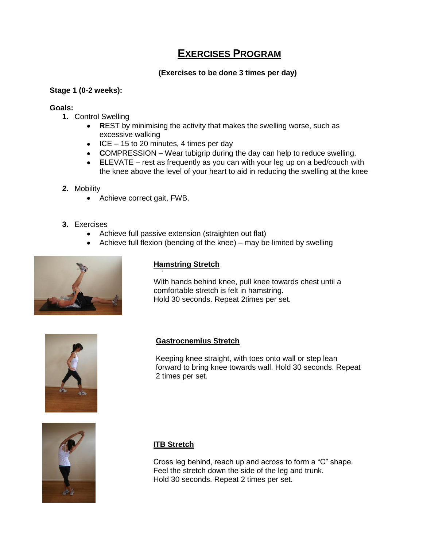# **EXERCISES PROGRAM**

# **(Exercises to be done 3 times per day)**

#### **Stage 1 (0-2 weeks):**

#### **Goals:**

- **1.** Control Swelling
	- **R**EST by minimising the activity that makes the swelling worse, such as  $\bullet$ excessive walking
	- **I**CE 15 to 20 minutes, 4 times per day
	- **C**OMPRESSION Wear tubigrip during the day can help to reduce swelling.
	- **E**LEVATE rest as frequently as you can with your leg up on a bed/couch with the knee above the level of your heart to aid in reducing the swelling at the knee
- **2.** Mobility
	- Achieve correct gait, FWB.
- **3.** Exercises
	- Achieve full passive extension (straighten out flat)  $\bullet$
	- Achieve full flexion (bending of the knee) may be limited by swelling  $\bullet$



# . **Hamstring Stretch**

With hands behind knee, pull knee towards chest until a comfortable stretch is felt in hamstring. Hold 30 seconds. Repeat 2times per set.



# **Gastrocnemius Stretch**

Keeping knee straight, with toes onto wall or step lean forward to bring knee towards wall. Hold 30 seconds. Repeat 2 times per set.



# **ITB Stretch**

Cross leg behind, reach up and across to form a "C" shape. Feel the stretch down the side of the leg and trunk. Hold 30 seconds. Repeat 2 times per set.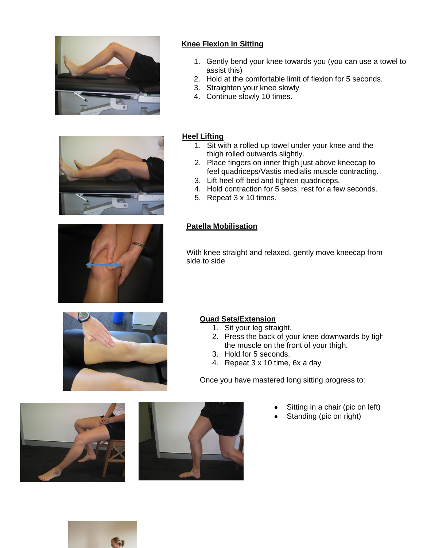



# **Knee Flexion in Sitting**

- 1. Gently bend your knee towards you (you can use a towel to assist this)
- 2. Hold at the comfortable limit of flexion for 5 seconds.
- 3. Straighten your knee slowly
- 4. Continue slowly 10 times.

## **Heel Lifting**

- 1. Sit with a rolled up towel under your knee and the thigh rolled outwards slightly.
- 2. Place fingers on inner thigh just above kneecap to feel quadriceps/Vastis medialis muscle contracting.
- 3. Lift heel off bed and tighten quadriceps.
- 4. Hold contraction for 5 secs, rest for a few seconds.
- 5. Repeat 3 x 10 times.

#### **Patella Mobilisation**

With knee straight and relaxed, gently move kneecap from side to side



# **Quad Sets/Extension**

- 1. Sit your leg straight.
- 2. Press the back of your knee downwards by tight the muscle on the front of your thigh.
- 3. Hold for 5 seconds.
- 4. Repeat 3 x 10 time, 6x a day

Once you have mastered long sitting progress to:

- Sitting in a chair (pic on left)
- Standing (pic on right)